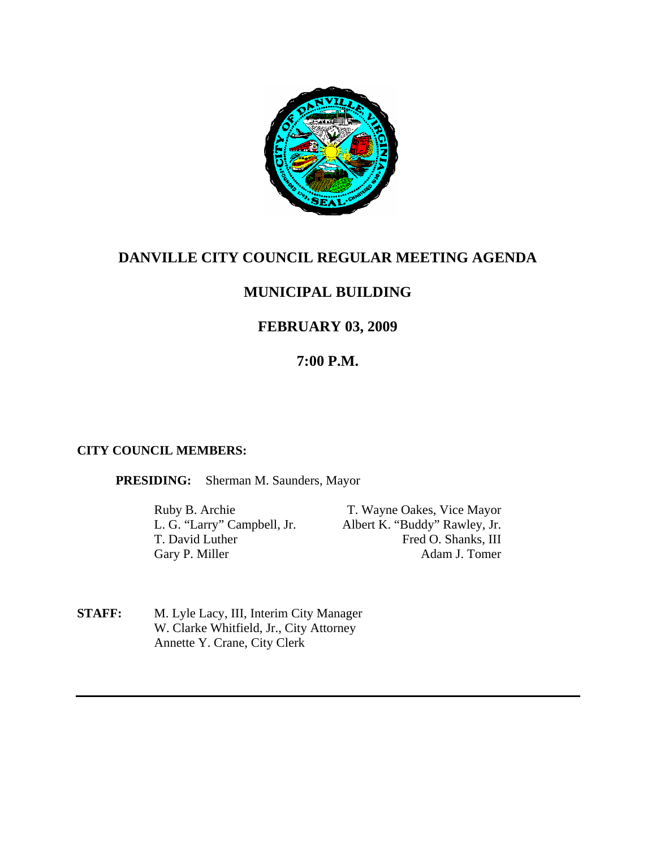

# **DANVILLE CITY COUNCIL REGULAR MEETING AGENDA**

# **MUNICIPAL BUILDING**

# **FEBRUARY 03, 2009**

# **7:00 P.M.**

## **CITY COUNCIL MEMBERS:**

**PRESIDING:** Sherman M. Saunders, Mayor

Gary P. Miller

Ruby B. Archie T. Wayne Oakes, Vice Mayor L. G. "Larry" Campbell, Jr. Albert K. "Buddy" Rawley, Jr. T. David Luther Fred O. Shanks, III<br>Garv P. Miller Adam J. Tomer

**STAFF:** M. Lyle Lacy, III, Interim City Manager W. Clarke Whitfield, Jr., City Attorney Annette Y. Crane, City Clerk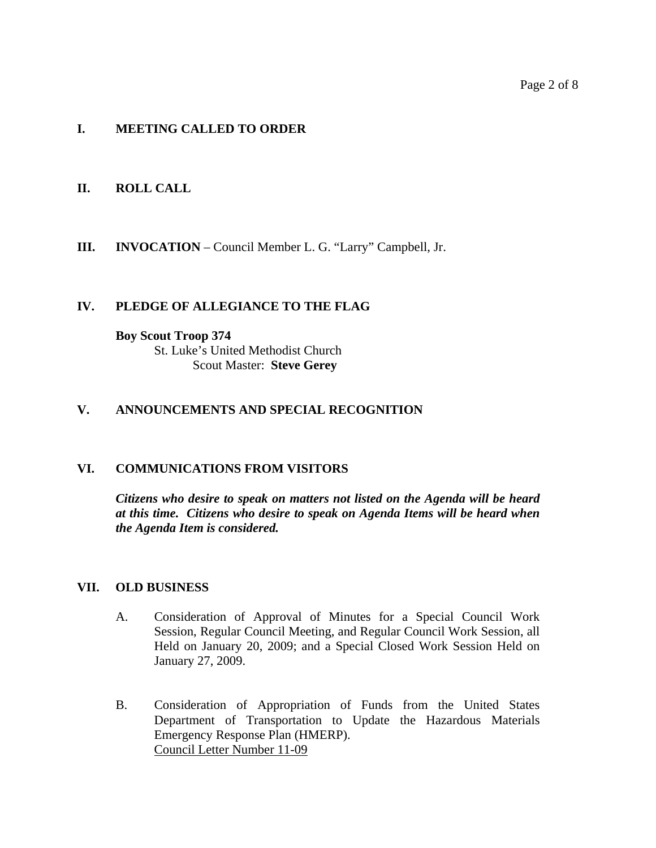### Page 2 of 8

## **I. MEETING CALLED TO ORDER**

## **II. ROLL CALL**

**III. INVOCATION** – Council Member L. G. "Larry" Campbell, Jr.

### **IV. PLEDGE OF ALLEGIANCE TO THE FLAG**

#### **Boy Scout Troop 374**

 St. Luke's United Methodist Church Scout Master: **Steve Gerey**

### **V. ANNOUNCEMENTS AND SPECIAL RECOGNITION**

### **VI. COMMUNICATIONS FROM VISITORS**

*Citizens who desire to speak on matters not listed on the Agenda will be heard at this time. Citizens who desire to speak on Agenda Items will be heard when the Agenda Item is considered.* 

### **VII. OLD BUSINESS**

- A. Consideration of Approval of Minutes for a Special Council Work Session, Regular Council Meeting, and Regular Council Work Session, all Held on January 20, 2009; and a Special Closed Work Session Held on January 27, 2009.
- B. Consideration of Appropriation of Funds from the United States Department of Transportation to Update the Hazardous Materials Emergency Response Plan (HMERP). Council Letter Number 11-09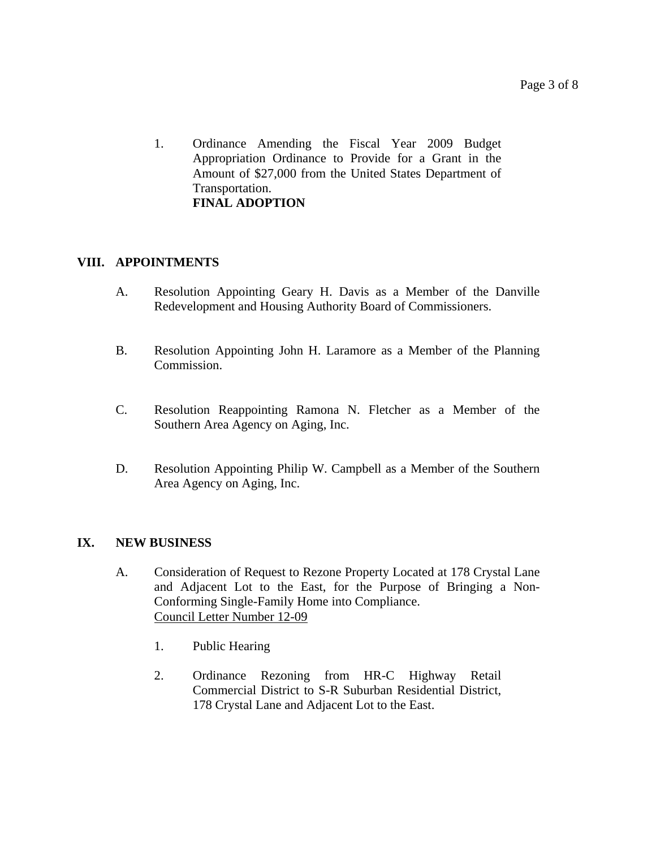1. Ordinance Amending the Fiscal Year 2009 Budget Appropriation Ordinance to Provide for a Grant in the Amount of \$27,000 from the United States Department of Transportation. **FINAL ADOPTION**

## **VIII. APPOINTMENTS**

- A. Resolution Appointing Geary H. Davis as a Member of the Danville Redevelopment and Housing Authority Board of Commissioners.
- B. Resolution Appointing John H. Laramore as a Member of the Planning Commission.
- C. Resolution Reappointing Ramona N. Fletcher as a Member of the Southern Area Agency on Aging, Inc.
- D. Resolution Appointing Philip W. Campbell as a Member of the Southern Area Agency on Aging, Inc.

## **IX. NEW BUSINESS**

- A. Consideration of Request to Rezone Property Located at 178 Crystal Lane and Adjacent Lot to the East, for the Purpose of Bringing a Non-Conforming Single-Family Home into Compliance. Council Letter Number 12-09
	- 1. Public Hearing
	- 2. Ordinance Rezoning from HR-C Highway Retail Commercial District to S-R Suburban Residential District, 178 Crystal Lane and Adjacent Lot to the East.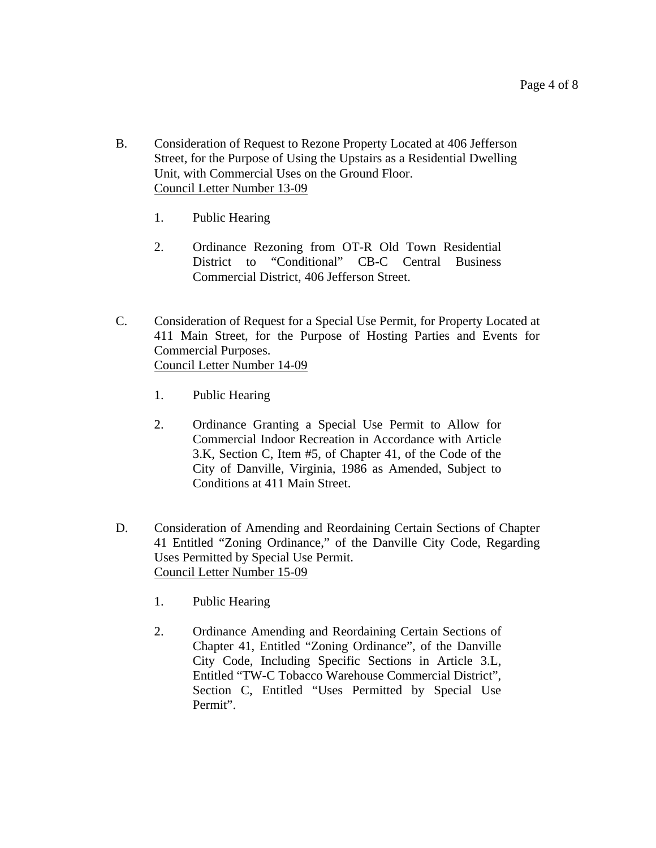- B. Consideration of Request to Rezone Property Located at 406 Jefferson Street, for the Purpose of Using the Upstairs as a Residential Dwelling Unit, with Commercial Uses on the Ground Floor. Council Letter Number 13-09
	- 1. Public Hearing
	- 2. Ordinance Rezoning from OT-R Old Town Residential District to "Conditional" CB-C Central Business Commercial District, 406 Jefferson Street.
- C. Consideration of Request for a Special Use Permit, for Property Located at 411 Main Street, for the Purpose of Hosting Parties and Events for Commercial Purposes. Council Letter Number 14-09
	- 1. Public Hearing
	- 2. Ordinance Granting a Special Use Permit to Allow for Commercial Indoor Recreation in Accordance with Article 3.K, Section C, Item #5, of Chapter 41, of the Code of the City of Danville, Virginia, 1986 as Amended, Subject to Conditions at 411 Main Street.
- D. Consideration of Amending and Reordaining Certain Sections of Chapter 41 Entitled "Zoning Ordinance," of the Danville City Code, Regarding Uses Permitted by Special Use Permit. Council Letter Number 15-09
	- 1. Public Hearing
	- 2. Ordinance Amending and Reordaining Certain Sections of Chapter 41, Entitled "Zoning Ordinance", of the Danville City Code, Including Specific Sections in Article 3.L, Entitled "TW-C Tobacco Warehouse Commercial District", Section C, Entitled "Uses Permitted by Special Use Permit".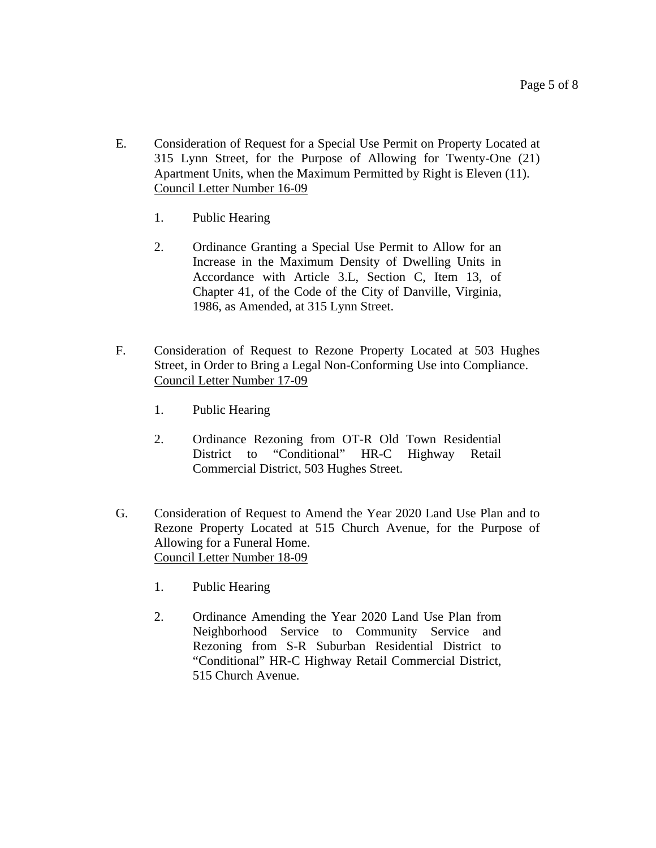- E. Consideration of Request for a Special Use Permit on Property Located at 315 Lynn Street, for the Purpose of Allowing for Twenty-One (21) Apartment Units, when the Maximum Permitted by Right is Eleven (11). Council Letter Number 16-09
	- 1. Public Hearing
	- 2. Ordinance Granting a Special Use Permit to Allow for an Increase in the Maximum Density of Dwelling Units in Accordance with Article 3.L, Section C, Item 13, of Chapter 41, of the Code of the City of Danville, Virginia, 1986, as Amended, at 315 Lynn Street.
- F. Consideration of Request to Rezone Property Located at 503 Hughes Street, in Order to Bring a Legal Non-Conforming Use into Compliance. Council Letter Number 17-09
	- 1. Public Hearing
	- 2. Ordinance Rezoning from OT-R Old Town Residential District to "Conditional" HR-C Highway Retail Commercial District, 503 Hughes Street.
- G. Consideration of Request to Amend the Year 2020 Land Use Plan and to Rezone Property Located at 515 Church Avenue, for the Purpose of Allowing for a Funeral Home. Council Letter Number 18-09
	- 1. Public Hearing
	- 2. Ordinance Amending the Year 2020 Land Use Plan from Neighborhood Service to Community Service and Rezoning from S-R Suburban Residential District to "Conditional" HR-C Highway Retail Commercial District, 515 Church Avenue.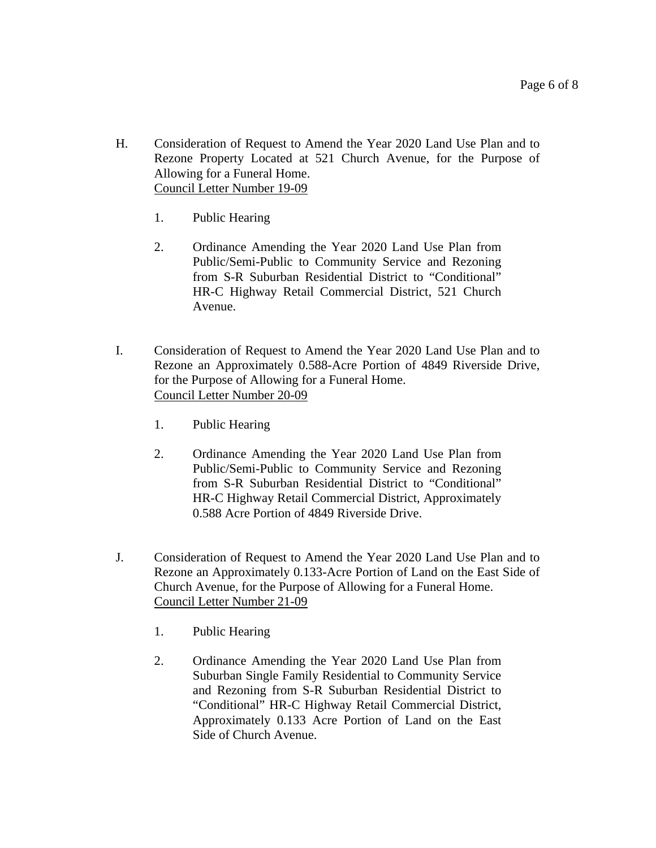- H. Consideration of Request to Amend the Year 2020 Land Use Plan and to Rezone Property Located at 521 Church Avenue, for the Purpose of Allowing for a Funeral Home. Council Letter Number 19-09
	- 1. Public Hearing
	- 2. Ordinance Amending the Year 2020 Land Use Plan from Public/Semi-Public to Community Service and Rezoning from S-R Suburban Residential District to "Conditional" HR-C Highway Retail Commercial District, 521 Church Avenue.
- I. Consideration of Request to Amend the Year 2020 Land Use Plan and to Rezone an Approximately 0.588-Acre Portion of 4849 Riverside Drive, for the Purpose of Allowing for a Funeral Home. Council Letter Number 20-09
	- 1. Public Hearing
	- 2. Ordinance Amending the Year 2020 Land Use Plan from Public/Semi-Public to Community Service and Rezoning from S-R Suburban Residential District to "Conditional" HR-C Highway Retail Commercial District, Approximately 0.588 Acre Portion of 4849 Riverside Drive.
- J. Consideration of Request to Amend the Year 2020 Land Use Plan and to Rezone an Approximately 0.133-Acre Portion of Land on the East Side of Church Avenue, for the Purpose of Allowing for a Funeral Home. Council Letter Number 21-09
	- 1. Public Hearing
	- 2. Ordinance Amending the Year 2020 Land Use Plan from Suburban Single Family Residential to Community Service and Rezoning from S-R Suburban Residential District to "Conditional" HR-C Highway Retail Commercial District, Approximately 0.133 Acre Portion of Land on the East Side of Church Avenue.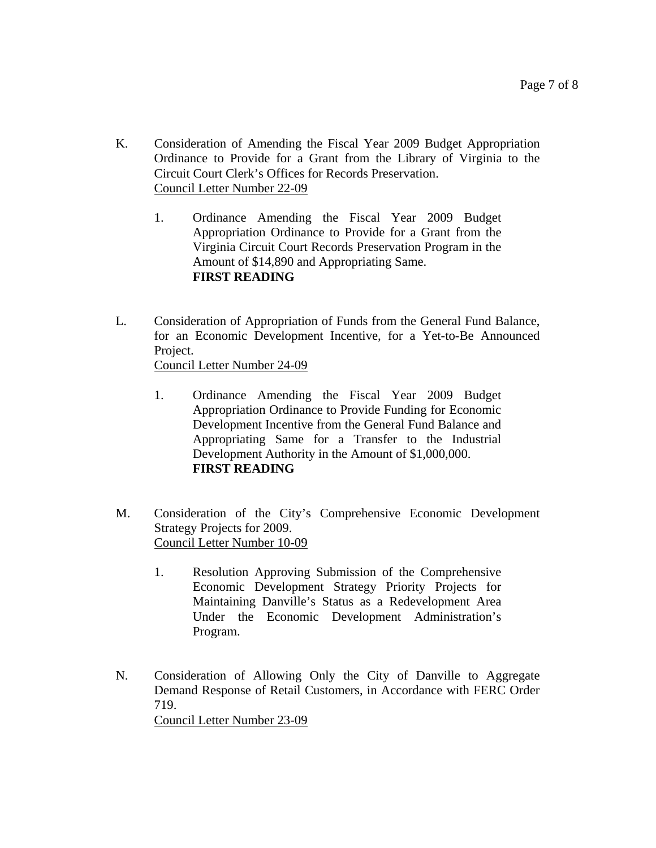- K. Consideration of Amending the Fiscal Year 2009 Budget Appropriation Ordinance to Provide for a Grant from the Library of Virginia to the Circuit Court Clerk's Offices for Records Preservation. Council Letter Number 22-09
	- 1. Ordinance Amending the Fiscal Year 2009 Budget Appropriation Ordinance to Provide for a Grant from the Virginia Circuit Court Records Preservation Program in the Amount of \$14,890 and Appropriating Same. **FIRST READING**
- L. Consideration of Appropriation of Funds from the General Fund Balance, for an Economic Development Incentive, for a Yet-to-Be Announced Project. Council Letter Number 24-09
	- 1. Ordinance Amending the Fiscal Year 2009 Budget Appropriation Ordinance to Provide Funding for Economic Development Incentive from the General Fund Balance and Appropriating Same for a Transfer to the Industrial Development Authority in the Amount of \$1,000,000. **FIRST READING**
- M. Consideration of the City's Comprehensive Economic Development Strategy Projects for 2009. Council Letter Number 10-09
	- 1. Resolution Approving Submission of the Comprehensive Economic Development Strategy Priority Projects for Maintaining Danville's Status as a Redevelopment Area Under the Economic Development Administration's Program.
- N. Consideration of Allowing Only the City of Danville to Aggregate Demand Response of Retail Customers, in Accordance with FERC Order 719. Council Letter Number 23-09